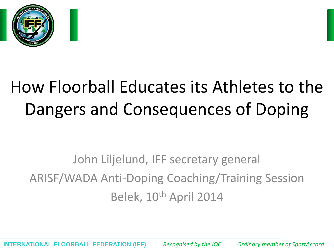

# How Floorball Educates its Athletes to the Dangers and Consequences of Doping

John Liljelund, IFF secretary general ARISF/WADA Anti-Doping Coaching/Training Session Belek, 10<sup>th</sup> April 2014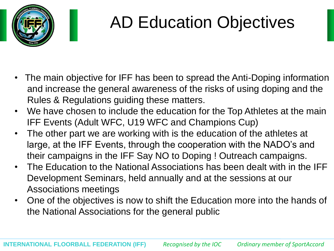

## AD Education Objectives

- The main objective for IFF has been to spread the Anti-Doping information and increase the general awareness of the risks of using doping and the Rules & Regulations guiding these matters.
- We have chosen to include the education for the Top Athletes at the main IFF Events (Adult WFC, U19 WFC and Champions Cup)
- The other part we are working with is the education of the athletes at large, at the IFF Events, through the cooperation with the NADO's and their campaigns in the IFF Say NO to Doping ! Outreach campaigns.
- The Education to the National Associations has been dealt with in the IFF Development Seminars, held annually and at the sessions at our Associations meetings
- One of the objectives is now to shift the Education more into the hands of the National Associations for the general public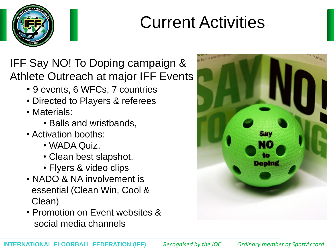

## Current Activities

IFF Say NO! To Doping campaign & Athlete Outreach at major IFF Events

- 9 events, 6 WFCs, 7 countries
- Directed to Players & referees
- Materials:
	- Balls and wristbands,
- Activation booths:
	- WADA Quiz,
	- Clean best slapshot,
	- Flyers & video clips
- NADO & NA involvement is essential (Clean Win, Cool & Clean)
- Promotion on Event websites & social media channels

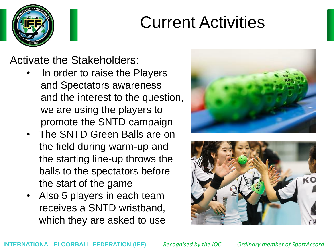

### Current Activities

Activate the Stakeholders:

- In order to raise the Players and Spectators awareness and the interest to the question, we are using the players to promote the SNTD campaign
- The SNTD Green Balls are on the field during warm-up and the starting line-up throws the balls to the spectators before the start of the game
- Also 5 players in each team receives a SNTD wristband, which they are asked to use



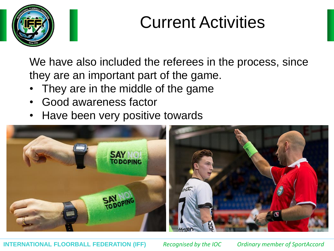

### Current Activities

We have also included the referees in the process, since they are an important part of the game.

- They are in the middle of the game
- Good awareness factor
- Have been very positive towards



**INTERNATIONAL FLOORBALL FEDERATION (IFF)** *Recognised by the IOC Ordinary member of SportAccord*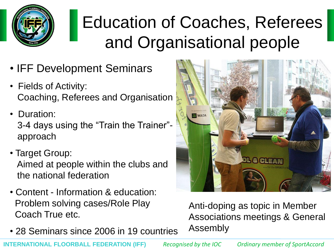

# Education of Coaches, Referees and Organisational people

- IFF Development Seminars
- Fields of Activity: Coaching, Referees and Organisation
- Duration: 3-4 days using the "Train the Trainer"approach
- Target Group:

Aimed at people within the clubs and the national federation

- Content Information & education: Problem solving cases/Role Play Coach True etc.
- 28 Seminars since 2006 in 19 countries



Anti-doping as topic in Member Associations meetings & General Assembly

**INTERNATIONAL FLOORBALL FEDERATION (IFF)** *Recognised by the IOC Ordinary member of SportAccord*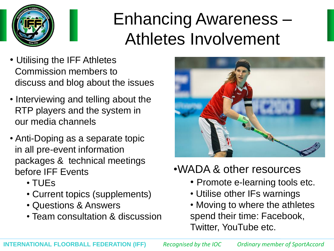

# Enhancing Awareness – Athletes Involvement

- Utilising the IFF Athletes Commission members to discuss and blog about the issues
- Interviewing and telling about the RTP players and the system in our media channels
- Anti-Doping as a separate topic in all pre-event information packages & technical meetings before **IFF** Events
	- TUEs
	- Current topics (supplements)
	- Questions & Answers
	- Team consultation & discussion



#### •WADA & other resources

- Promote e-learning tools etc.
- Utilise other IFs warnings
- Moving to where the athletes spend their time: Facebook, Twitter, YouTube etc.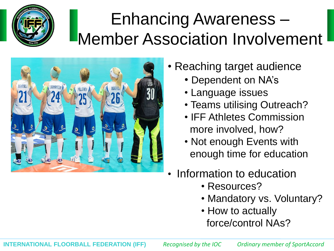

# Enhancing Awareness – Member Association Involvement



- Reaching target audience
	- Dependent on NA's
	- Language issues
	- Teams utilising Outreach?
	- IFF Athletes Commission more involved, how?
	- Not enough Events with enough time for education
- Information to education
	- Resources?
	- Mandatory vs. Voluntary?
	- How to actually force/control NAs?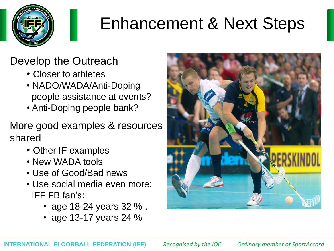

# Enhancement & Next Steps

#### Develop the Outreach

- Closer to athletes
- NADO/WADA/Anti-Doping people assistance at events?
- Anti-Doping people bank?

#### More good examples & resources shared

- Other IF examples
- New WADA tools
- Use of Good/Bad news
- Use social media even more: **IFF FB fan's:** 
	- age 18-24 years 32 % ,
	- age 13-17 years 24 %

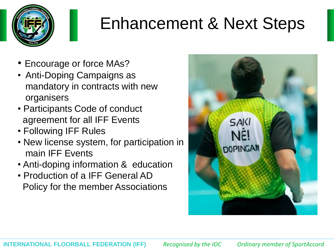

## Enhancement & Next Steps

- Encourage or force MAs?
- Anti-Doping Campaigns as mandatory in contracts with new organisers
- Participants Code of conduct agreement for all IFF Events
- Following IFF Rules
- New license system, for participation in main IFF Events
- Anti-doping information & education
- Production of a IFF General AD Policy for the member Associations

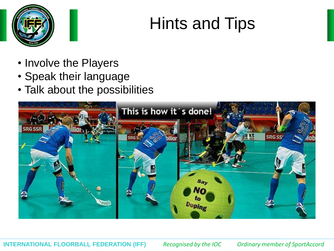

### Hints and Tips

- Involve the Players
- Speak their language
- Talk about the possibilities